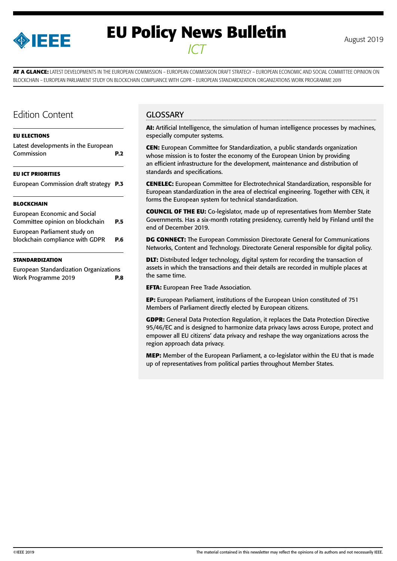

# **EU Policy News Bulletin** August 2019 *ICT*

**AT A GLANCE:** LATEST DEVELOPMENTS IN THE EUROPEAN COMMISSION – EUROPEAN COMMISSION DRAFT STRATEGY – EUROPEAN ECONOMIC AND SOCIAL COMMITTEE OPINION ON BLOCKCHAIN – EUROPEAN PARLIAMENT STUDY ON BLOCKCHAIN COMPLIANCE WITH GDPR – EUROPEAN STANDARDIZATION ORGANIZATIONS WORK PROGRAMME 2019

### Edition Content

#### **[EU ELECTIONS](#page-1-0)**

| Latest developments in the European<br>Commission                      | P.2 |
|------------------------------------------------------------------------|-----|
| <b>EU ICT PRIORITIES</b>                                               |     |
| European Commission draft strategy P.3                                 |     |
| <b>BLOCKCHAIN</b>                                                      |     |
| <b>European Economic and Social</b><br>Committee opinion on blockchain | P.5 |

[European Parliament study on](#page-5-0)  [blockchain compliance with GDPR](#page-5-0) **P.6**

#### **[STANDARDIZATION](#page-7-0)**

[European Standardization Organizations](#page-7-0)  [Work Programme 2019](#page-7-0) **P.8**

### **GLOSSARY**

**AI:** Artificial Intelligence, the simulation of human intelligence processes by machines, especially computer systems.

**CEN:** European Committee for Standardization, a public standards organization whose mission is to foster the economy of the European Union by providing an efficient infrastructure for the development, maintenance and distribution of standards and specifications.

**CENELEC:** European Committee for Electrotechnical Standardization, responsible for European standardization in the area of electrical engineering. Together with CEN, it forms the European system for technical standardization.

**COUNCIL OF THE EU:** Co-legislator, made up of representatives from Member State Governments. Has a six-month rotating presidency, currently held by Finland until the end of December 2019.

**DG CONNECT:** The European Commission Directorate General for Communications Networks, Content and Technology. Directorate General responsible for digital policy.

**DLT:** Distributed ledger technology, digital system for recording the transaction of assets in which the transactions and their details are recorded in multiple places at the same time.

**EFTA:** European Free Trade Association.

**EP:** European Parliament, institutions of the European Union constituted of 751 Members of Parliament directly elected by European citizens.

**GDPR:** General Data Protection Regulation, it replaces the Data Protection Directive 95/46/EC and is designed to harmonize data privacy laws across Europe, protect and empower all EU citizens' data privacy and reshape the way organizations across the region approach data privacy.

**MEP:** Member of the European Parliament, a co-legislator within the EU that is made up of representatives from political parties throughout Member States.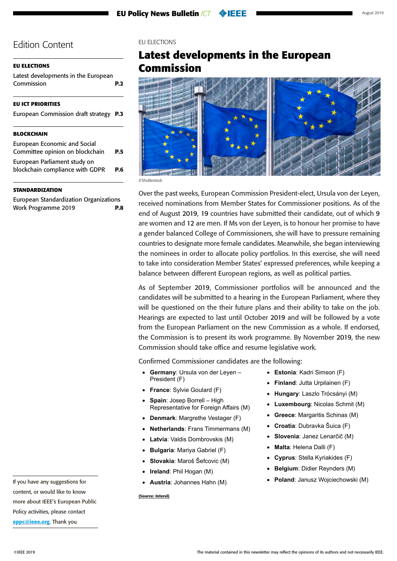#### <span id="page-1-0"></span>**EU ELECTIONS**

Latest developments in the European Commission **P.2**

#### **[EU ICT PRIORITIES](#page-2-0)**

| European Commission draft strategy P.3 |  |
|----------------------------------------|--|
|----------------------------------------|--|

#### **[BLOCKCHAIN](#page-4-0)**

| <b>European Economic and Social</b> |            |
|-------------------------------------|------------|
| Committee opinion on blockchain     | <b>P.5</b> |
| European Parliament study on        |            |
| blockchain compliance with GDPR     | P.6        |
|                                     |            |

#### **[STANDARDIZATION](#page-7-0)**

[European Standardization Organizations](#page-7-0)  [Work Programme 2019](#page-7-0) **P.8** EU ELECTIONS

# **Latest developments in the European Commission**



©Shutterstock

Over the past weeks, European Commission President-elect, Ursula von der Leyen, received nominations from Member States for Commissioner positions. As of the end of August 2019, 19 countries have submitted their candidate, out of which 9 are women and 12 are men. If Ms von der Leyen, is to honour her promise to have a gender balanced College of Commissioners, she will have to pressure remaining countries to designate more female candidates. Meanwhile, she began interviewing the nominees in order to allocate policy portfolios. In this exercise, she will need to take into consideration Member States' expressed preferences, while keeping a balance between different European regions, as well as political parties.

As of September 2019, Commissioner portfolios will be announced and the candidates will be submitted to a hearing in the European Parliament, where they will be questioned on the their future plans and their ability to take on the job. Hearings are expected to last until October 2019 and will be followed by a vote from the European Parliament on the new Commission as a whole. If endorsed, the Commission is to present its work programme. By November 2019, the new Commission should take office and resume legislative work.

Confirmed Commissioner candidates are the following:

- **Germany: Ursula von der Leyen -**President (F)
- • **France**: Sylvie Goulard (F)
- **Spain: Josep Borrell High** Representative for Foreign Affairs (M)
- **Denmark: Margrethe Vestager (F)**
- • **Netherlands**: Frans Timmermans (M)
- **Latvia**: Valdis Dombrovskis (M)
- **Bulgaria: Mariya Gabriel (F)**
- • **Slovakia**: Maroš Šefcovic (M)
- **Ireland: Phil Hogan (M)**
- • **Austria**: Johannes Hahn (M)

**(Source: Interel)**

- • **Estonia**: Kadri Simson (F)
- **Finland: Jutta Urpilainen (F)**
- • **Hungary**: Laszlo Trócsányi (M)
- **Luxembourg: Nicolas Schmit (M)**
- **Greece: Margaritis Schinas (M)**
- • **Croatia**: Dubravka Šuica (F)
- • **Slovenia**: Janez Lenarčič (M)
- • **Malta**: Helena Dalli (F)
- **Cyprus**: Stella Kyriakides (F)
- • **Belgium**: Didier Reynders (M)
- **Poland: Janusz Wojciechowski (M)**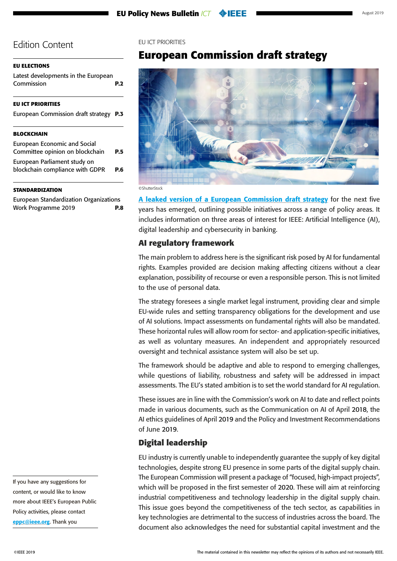### <span id="page-2-0"></span>**[EU ELECTIONS](#page-1-0)**

[Latest developments in the European](#page-1-0)  [Commission](#page-1-0) **P.2**

### **EU ICT PRIORITIES**

|  | European Commission draft strategy P.3 |  |
|--|----------------------------------------|--|
|  |                                        |  |

### **[BLOCKCHAIN](#page-4-0)**

| <b>European Economic and Social</b> |            |
|-------------------------------------|------------|
| Committee opinion on blockchain     | <b>P.5</b> |
| European Parliament study on        |            |
| blockchain compliance with GDPR     | P.6        |
|                                     |            |

### **[STANDARDIZATION](#page-7-0)**

[European Standardization Organizations](#page-7-0)  [Work Programme 2019](#page-7-0) **P.8**

### EU ICT PRIORITIES

# **European Commission draft strategy**



A leaked version of a [European Commission draft strategy](https://www.politico.eu/wp-content/uploads/2019/08/clean_definite2.pdf?utm_source=POLITICO.EU&utm_campaign=0691e86dfe-EMAIL_CAMPAIGN_2019_08_22_10_16&utm_medium=email&utm_term=0_10959edeb5-0691e86dfe-190351733) for the next five years has emerged, outlining possible initiatives across a range of policy areas. It includes information on three areas of interest for IEEE: Artificial Intelligence (AI), digital leadership and cybersecurity in banking.

### **AI regulatory framework**

The main problem to address here is the significant risk posed by AI for fundamental rights. Examples provided are decision making affecting citizens without a clear explanation, possibility of recourse or even a responsible person. This is not limited to the use of personal data.

The strategy foresees a single market legal instrument, providing clear and simple EU-wide rules and setting transparency obligations for the development and use of AI solutions. Impact assessments on fundamental rights will also be mandated. These horizontal rules will allow room for sector- and application-specific initiatives, as well as voluntary measures. An independent and appropriately resourced oversight and technical assistance system will also be set up.

The framework should be adaptive and able to respond to emerging challenges, while questions of liability, robustness and safety will be addressed in impact assessments. The EU's stated ambition is to set the world standard for AI regulation.

These issues are in line with the Commission's work on AI to date and reflect points made in various documents, such as the Communication on AI of April 2018, the AI ethics guidelines of April 2019 and the Policy and Investment Recommendations of June 2019.

### **Digital leadership**

EU industry is currently unable to independently guarantee the supply of key digital technologies, despite strong EU presence in some parts of the digital supply chain. The European Commission will present a package of "focused, high-impact projects", which will be proposed in the first semester of 2020. These will aim at reinforcing industrial competitiveness and technology leadership in the digital supply chain. This issue goes beyond the competitiveness of the tech sector, as capabilities in key technologies are detrimental to the success of industries across the board. The document also acknowledges the need for substantial capital investment and the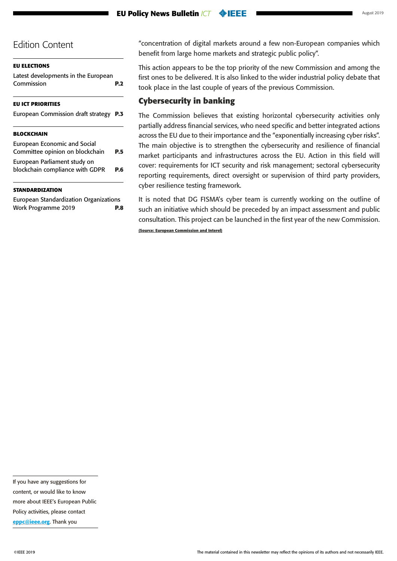### **[EU ELECTIONS](#page-1-0)**

[Latest developments in the European](#page-1-0)  [Commission](#page-1-0) **P.2**

### **[EU ICT PRIORITIES](#page-2-0)**

| European Commission draft strategy P.3 |  |  |
|----------------------------------------|--|--|
|                                        |  |  |

### **[BLOCKCHAIN](#page-4-0)**

| <b>European Economic and Social</b><br>Committee opinion on blockchain | <b>P.5</b> |
|------------------------------------------------------------------------|------------|
| European Parliament study on<br>blockchain compliance with GDPR        | <b>P.6</b> |

### **[STANDARDIZATION](#page-7-0)**

[European Standardization Organizations](#page-7-0)  [Work Programme 2019](#page-7-0) **P.8**

"concentration of digital markets around a few non-European companies which benefit from large home markets and strategic public policy".

This action appears to be the top priority of the new Commission and among the first ones to be delivered. It is also linked to the wider industrial policy debate that took place in the last couple of years of the previous Commission.

### **Cybersecurity in banking**

The Commission believes that existing horizontal cybersecurity activities only partially address financial services, who need specific and better integrated actions across the EU due to their importance and the "exponentially increasing cyber risks". The main objective is to strengthen the cybersecurity and resilience of financial market participants and infrastructures across the EU. Action in this field will cover: requirements for ICT security and risk management; sectoral cybersecurity reporting requirements, direct oversight or supervision of third party providers, cyber resilience testing framework.

It is noted that DG FISMA's cyber team is currently working on the outline of such an initiative which should be preceded by an impact assessment and public consultation. This project can be launched in the first year of the new Commission.

**(Source: European Commission and Interel)**

If you have any suggestions for content, or would like to know more about IEEE's European Public Policy activities, please contact [eppc@ieee.org](mailto:eppc%40ieee.org?subject=). Thank you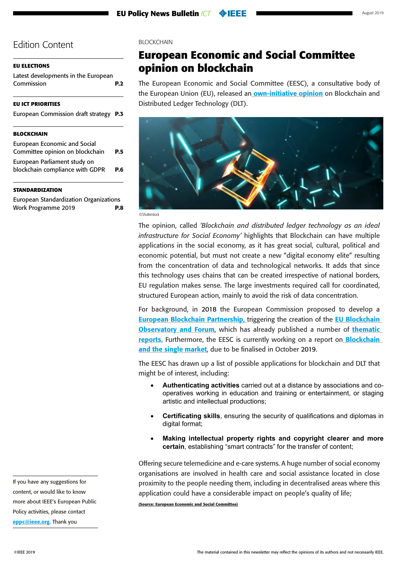#### <span id="page-4-0"></span>**[EU ELECTIONS](#page-1-0)**

[Latest developments in the European](#page-1-0)  [Commission](#page-1-0) **P.2**

#### **[EU ICT PRIORITIES](#page-2-0)**

| European Commission draft strategy P.3 |  |  |  |
|----------------------------------------|--|--|--|
|----------------------------------------|--|--|--|

#### **BLOCKCHAIN**

| <b>European Economic and Social</b> |            |
|-------------------------------------|------------|
| Committee opinion on blockchain     | <b>P.5</b> |
| European Parliament study on        |            |
| blockchain compliance with GDPR     | P.6        |
|                                     |            |

#### **[STANDARDIZATION](#page-7-0)**

[European Standardization Organizations](#page-7-0)  [Work Programme 2019](#page-7-0) **P.8** **BLOCKCHAIN** 

### **European Economic and Social Committee opinion on blockchain**

The European Economic and Social Committee (EESC), a consultative body of the European Union (EU), released an [own-initiative opinion](https://webapi2016.eesc.europa.eu/v1/documents/EESC-2019-00522-00-00-AC-TRA-EN.docx/content) on Blockchain and Distributed Ledger Technology (DLT).



©Shutterstock

The opinion, called *'Blockchain and distributed ledger technology as an ideal infrastructure for Social Economy'* highlights that Blockchain can have multiple applications in the social economy, as it has great social, cultural, political and economic potential, but must not create a new "digital economy elite" resulting from the concentration of data and technological networks. It adds that since this technology uses chains that can be created irrespective of national borders, EU regulation makes sense. The large investments required call for coordinated, structured European action, mainly to avoid the risk of data concentration.

For background, in 2018 the European Commission proposed to develop a **[European Blockchain Partnership,](http://mmail.dods.co.uk/wf/click?upn=ylTnCxh9zvUxpjPh46TRxGJd0LU9-2Ff6yX0dBT0jSsISZTgF4ecyYLzBCR73BdhFUK2fsxMWiI38fQJXWtArcjE5Gcp14tB3xkrJ-2Fpt2icGDkxW4BzchW8OVcGgDWlxBsGiJPeckA47a2BPBJle7-2BRA-3D-3D_UTEA2Ss2d4pXoYzH3oOx4q-2FxGBF1Wt1ClHXwhMG6fAW52WMeMbINV7VgT319Af-2B0xW7G7aF0E9zL-2BSg1zdqVEAWjTy115NfTLh83Efx48ntE8nbOmZpeHI4uLMLkatHgy5ukHC47ywUwcWB20pbKxJjdz7zQ5c-2FuH3mGn4-2BUfDt2PLtCyvk605-2BQmpJzqP98gRdQzVIs24IvM19RVp448txhRMVkev3mdn1uKy8gtD0-3D) triggering the creation of the EU Blockchain** [Observatory and Forum](http://mmail.dods.co.uk/wf/click?upn=dYp8rVhQxtCbE2VSlRzwOwNxm7LS2rZ5g-2FDbosShnvCewkwgr60eXayZw5Otr68W_UTEA2Ss2d4pXoYzH3oOx4q-2FxGBF1Wt1ClHXwhMG6fAW52WMeMbINV7VgT319Af-2B0xW7G7aF0E9zL-2BSg1zdqVEKSAKyAjZqVb-2Bjiw-2Bt118gQoO-2FUCly6ogAhZwf8hJbJFavjqY4XH3dzD-2F0V1nd8cxoKwcDBXwnvqBX42vLR6SpnWiCUviVI7xeYfWQ0WPI84Qap-2Fk-2FL51RS6KYCjWSq9JwxGYeKMpV-2BopuUcnLyOR00-3D), which has already published a number of thematic **[reports.](http://mmail.dods.co.uk/wf/click?upn=dYp8rVhQxtCbE2VSlRzwOwNxm7LS2rZ5g-2FDbosShnvBj80YOejln0h-2B1lm06L5GT_UTEA2Ss2d4pXoYzH3oOx4q-2FxGBF1Wt1ClHXwhMG6fAW52WMeMbINV7VgT319Af-2B0xW7G7aF0E9zL-2BSg1zdqVEFRnuJcpy4by9cZTkLse-2F7jgms8Z-2F4Odcdf8cJNH37DBTv-2F4hLkx-2FpiGAU0y3fzmzhjSezo2iCI-2BZi55wSOtILtfUifrRMAXMC4suJ4vTDxbjRNsxqev9F2qw8HhgJVVEYnk16yCoM-2FaVW-2FQHEy8HOI-3D)** Furthermore, the EESC is currently working on a report on **Blockchain** [and the single market](http://mmail.dods.co.uk/wf/click?upn=dYp8rVhQxtCbE2VSlRzwOzrs1u72hTVyX7JTOZVcE6gQWY3IuZCBVvP5CluN5rRG8cHMTdsqgjTsynx-2FyjvwrIEXRz9juULxZMgXhiqqy3o9-2BzDkzOMjdd0rb8IZ1z7rvpG9Db6mleDjxsTKt-2BH9IdGBlFqcdVSrUftMBAZ8i1jtsaKglAOskIjaNcaw1E-2Bw5w7IThou6crecPawfHOilg-3D-3D_UTEA2Ss2d4pXoYzH3oOx4q-2FxGBF1Wt1ClHXwhMG6fAW52WMeMbINV7VgT319Af-2B0xW7G7aF0E9zL-2BSg1zdqVEJfoCvTZCVG40KyAsrIUo0hBRxEmS9PaHjLVfxMBQZIT7RnEsilb3srYWFJeMUd-2FnmfeK-2F0vae8COT2HYRnEE7fCYzblIH-2B6fzrVenfXENJMB3aCu8D9H-2FI5XqrSMw8jWt4QnH9sfWcfHaiGx86-2BIsU-3D), due to be finalised in October 2019.

The EESC has drawn up a list of possible applications for blockchain and DLT that might be of interest, including:

- • **Authenticating activities** carried out at a distance by associations and cooperatives working in education and training or entertainment, or staging artistic and intellectual productions;
- **Certificating skills**, ensuring the security of qualifications and diplomas in digital format:
- **Making intellectual property rights and copyright clearer and more certain**, establishing "smart contracts" for the transfer of content;

Offering secure telemedicine and e-care systems. A huge number of social economy organisations are involved in health care and social assistance located in close proximity to the people needing them, including in decentralised areas where this application could have a considerable impact on people's quality of life;

**(Source: European Economic and Social Committee)**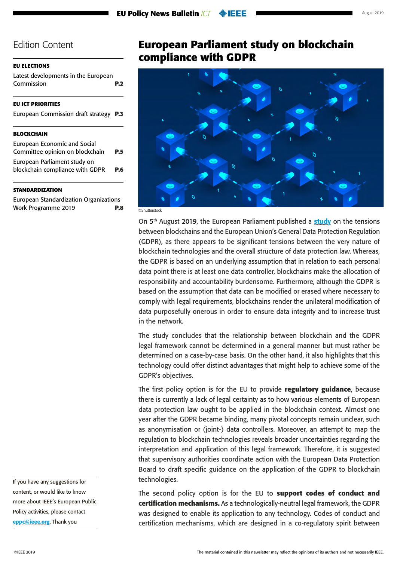### <span id="page-5-0"></span>**[EU ELECTIONS](#page-1-0)**

[Latest developments in the European](#page-1-0)  [Commission](#page-1-0) **P.2**

### **[EU ICT PRIORITIES](#page-2-0)**

| European Commission draft strategy P.3 |  |  |
|----------------------------------------|--|--|
|                                        |  |  |

### **[BLOCKCHAIN](#page-4-0)**

| <b>European Economic and Social</b><br>Committee opinion on blockchain | <b>P.5</b> |
|------------------------------------------------------------------------|------------|
| European Parliament study on                                           |            |
| blockchain compliance with GDPR                                        | P.6        |

### **[STANDARDIZATION](#page-7-0)**

[European Standardization Organizations](#page-7-0)  [Work Programme 2019](#page-7-0) **P.8** **European Parliament study on blockchain compliance with GDPR** 



©Shutterstock

On  $5<sup>th</sup>$  August 2019, the European Parliament published a [study](https://www.europarl.europa.eu/RegData/etudes/STUD/2019/634445/EPRS_STU(2019)634445_EN.pdf) on the tensions between blockchains and the European Union's General Data Protection Regulation (GDPR), as there appears to be significant tensions between the very nature of blockchain technologies and the overall structure of data protection law. Whereas, the GDPR is based on an underlying assumption that in relation to each personal data point there is at least one data controller, blockchains make the allocation of responsibility and accountability burdensome. Furthermore, although the GDPR is based on the assumption that data can be modified or erased where necessary to comply with legal requirements, blockchains render the unilateral modification of data purposefully onerous in order to ensure data integrity and to increase trust in the network.

The study concludes that the relationship between blockchain and the GDPR legal framework cannot be determined in a general manner but must rather be determined on a case-by-case basis. On the other hand, it also highlights that this technology could offer distinct advantages that might help to achieve some of the GDPR's objectives.

The first policy option is for the EU to provide **regulatory guidance**, because there is currently a lack of legal certainty as to how various elements of European data protection law ought to be applied in the blockchain context. Almost one year after the GDPR became binding, many pivotal concepts remain unclear, such as anonymisation or (joint-) data controllers. Moreover, an attempt to map the regulation to blockchain technologies reveals broader uncertainties regarding the interpretation and application of this legal framework. Therefore, it is suggested that supervisory authorities coordinate action with the European Data Protection Board to draft specific guidance on the application of the GDPR to blockchain technologies.

The second policy option is for the EU to **support codes of conduct and certification mechanisms.** As a technologically-neutral legal framework, the GDPR was designed to enable its application to any technology. Codes of conduct and certification mechanisms, which are designed in a co-regulatory spirit between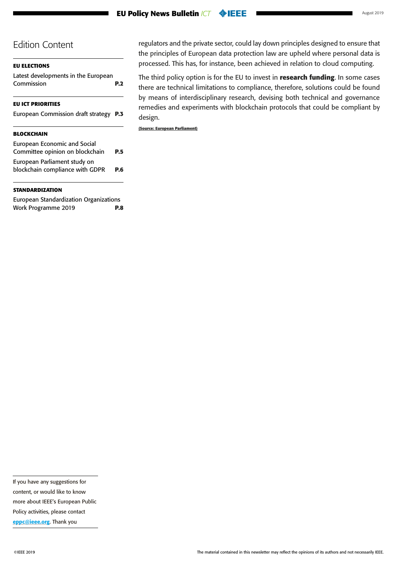#### **EU Policy News Bulletin** *ICT* **OEEE**

### Edition Content

| EU ELECTIONS<br>Latest developments in the European<br>Commission      | <b>P.2</b> |
|------------------------------------------------------------------------|------------|
| EU ICT PRIORITIES                                                      |            |
| <b>European Commission draft strategy</b>                              | <b>P.3</b> |
| BLOCKCHAIN                                                             |            |
| <b>European Economic and Social</b><br>Committee opinion on blockchain | P.5        |
| European Parliament study on<br>blockchain compliance with GDPR        | P.6        |

#### **[STANDARDIZATION](#page-7-0)**

[European Standardization Organizations](#page-7-0)  [Work Programme 2019](#page-7-0) **P.8** regulators and the private sector, could lay down principles designed to ensure that the principles of European data protection law are upheld where personal data is processed. This has, for instance, been achieved in relation to cloud computing.

The third policy option is for the EU to invest in **research funding**. In some cases there are technical limitations to compliance, therefore, solutions could be found by means of interdisciplinary research, devising both technical and governance remedies and experiments with blockchain protocols that could be compliant by design.

**(Source: European Parliament)**